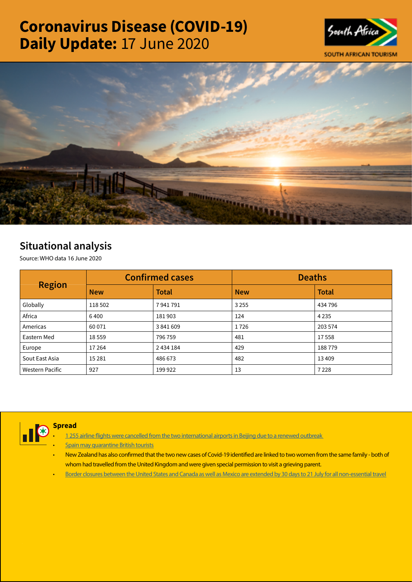# Coronavirus Disease (COVID-19) Daily Update: 17 June 2020





# Situational analysis

Source: WHO data 16 June 2020

| <b>Region</b>   |            | <b>Confirmed cases</b> | <b>Deaths</b> |              |  |
|-----------------|------------|------------------------|---------------|--------------|--|
|                 | <b>New</b> | <b>Total</b>           | <b>New</b>    | <b>Total</b> |  |
| Globally        | 118 502    | 7941791                | 3 2 5 5       | 434 796      |  |
| Africa          | 6400       | 181903                 | 124           | 4 2 3 5      |  |
| Americas        | 60 0 71    | 3 841 609              | 1726          | 203 574      |  |
| Eastern Med     | 18559      | 796 759                | 481           | 17558        |  |
| Europe          | 17 264     | 2 434 184              | 429           | 188779       |  |
| Sout East Asia  | 15 2 8 1   | 486 673                | 482           | 13409        |  |
| Western Pacific | 927        | 199 922                | 13            | 7228         |  |



## Spread

- 1 255 airline flights were cancelled from the two international airports in Beijing due to a renewed outbreak
- **[Spain may quarantine British tourists](https://t.co/TBhX4lBgfd?amp=1)**
- New Zealand has also confirmed that the two new cases of Covid-19 identified are linked to two women from the same family both of whom had travelled from the United Kingdom and were given special permission to visit a grieving parent.
- [Border closures between the United States and Canada as well as Mexico are extended by 30 days to 21 July for all non-essential travel](https://is.gd/PT65ap)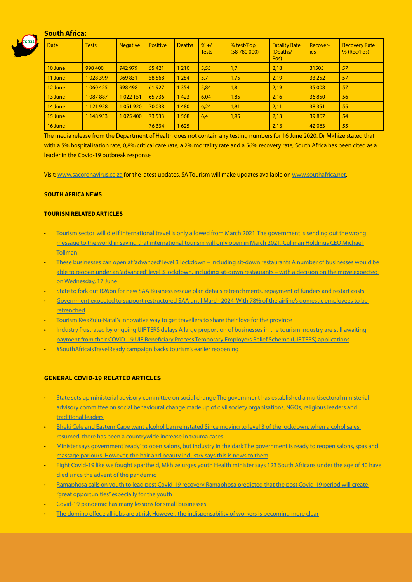### South Africa:



| <b>Date</b> | <b>Tests</b>  | <b>Negative</b> | <b>Positive</b> | <b>Deaths</b> | $\frac{9}{6}$ +/<br><b>Tests</b> | % test/Pop<br>(58780000) | <b>Fatality Rate</b><br>(Deaths/<br>Pos) | Recover-<br>ies | <b>Recovery Rate</b><br>% (Rec/Pos) |
|-------------|---------------|-----------------|-----------------|---------------|----------------------------------|--------------------------|------------------------------------------|-----------------|-------------------------------------|
| 10 June     | 998 400       | 942 979         | 55 4 21         | 1 2 1 0       | 5,55                             | 1,7                      | 2,18                                     | 31505           | 57                                  |
| 11 June     | 1028399       | 969 831         | 58 5 68         | 1 2 8 4       | 5,7                              | 1,75                     | 2,19                                     | 33 25 2         | 57                                  |
| 12 June     | 1 060 425     | 998 498         | 61927           | 1 3 5 4       | 5,84                             | 1,8                      | 2,19                                     | 35 008          | 57                                  |
| 13 June     | 1087887       | 1022151         | 65 7 36         | 1423          | 6,04                             | 1,85                     | 2,16                                     | 36850           | 56                                  |
| 14 June     | 1 1 2 1 9 5 8 | 1051920         | 70 038          | 1480          | 6,24                             | 1,91                     | 2,11                                     | 38 351          | 55                                  |
| 15 June     | 1 148 933     | 1 075 400       | 73 533          | 1 5 6 8       | 6,4                              | 1,95                     | 2,13                                     | 39867           | 54                                  |
| 16 June     |               |                 | 76 334          | 1625          |                                  |                          | 2,13                                     | 42 063          | 55                                  |

The media release from the Department of Health does not contain any testing numbers for 16 June 2020. Dr Mkhize stated that with a 5% hospitalisation rate, 0,8% critical care rate, a 2% mortality rate and a 56% recovery rate, South Africa has been cited as a leader in the Covid-19 outbreak response

Visit: [www.sacoronavirus.co.za](http://www.sacoronavirus.co.za) for the latest updates. SA Tourism will make updates available on [www.southafrica.net.](http://www.southafrica.net)

#### SOUTH AFRICA NEWS

#### TOURISM RELATED ARTICLES

- [Tourism sector 'will die if international travel is only allowed from March 2021' The government is sending out the wrong](https://www.businesslive.co.za/bd/national/2020-06-16-tourism-sector-will-die-if-international-travel-is-only-allowed-from-march-2021/)  [message to the world in saying that international tourism will only open in March 2021, Cullinan Holdings CEO Michael](https://www.businesslive.co.za/bd/national/2020-06-16-tourism-sector-will-die-if-international-travel-is-only-allowed-from-march-2021/)  **[Tollman](https://www.businesslive.co.za/bd/national/2020-06-16-tourism-sector-will-die-if-international-travel-is-only-allowed-from-march-2021/)**
- [These businesses can open at 'advanced' level 3 lockdown including sit-down restaurants A number of businesses would be](https://businesstech.co.za/news/business/408089/these-businesses-can-open-at-advanced-level-3-lockdown-including-sit-down-restaurants/)  [able to reopen under an 'advanced' level 3 lockdown, including sit-down restaurants – with a decision on the move expected](https://businesstech.co.za/news/business/408089/these-businesses-can-open-at-advanced-level-3-lockdown-including-sit-down-restaurants/)  [on Wednesday, 17 June](https://businesstech.co.za/news/business/408089/these-businesses-can-open-at-advanced-level-3-lockdown-including-sit-down-restaurants/)
- [State to fork out R26bn for new SAA Business rescue plan details retrenchments, repayment of funders and restart costs](https://www.businesslive.co.za/bd/national/2020-06-16-state-to-fork-out-r26bn-for-new-saa/)
- [Government expected to support restructured SAA until March 2024 With 78% of the airline's domestic employees to be](https://www.moneyweb.co.za/news/south-africa/government-expected-to-support-saa-restructured-until-2024/)  [retrenched](https://www.moneyweb.co.za/news/south-africa/government-expected-to-support-saa-restructured-until-2024/)
- [Tourism KwaZulu-Natal's innovative way to get travellers to share their love for the province](https://www.iol.co.za/travel/south-africa/kwazulu-natal/tourism-kwazulu-natals-innovative-way-to-get-travellers-to-share-their-love-for-the-province-49398344)
- [Industry frustrated by ongoing UIF TERS delays A large proportion of businesses in the tourism industry are still awaiting](http://www.tourismupdate.co.za/article/199633/Industry-frustrated-by-ongoing-UIF-TERS-delays)  [payment from their COVID-19 UIF Beneficiary Process Temporary Employers Relief Scheme \(UIF TERS\) applications](http://www.tourismupdate.co.za/article/199633/Industry-frustrated-by-ongoing-UIF-TERS-delays)
- [#SouthAfricaisTravelReady campaign backs tourism's earlier reopening](http://www.tourismupdate.co.za/article/199635/SouthAfricaisTravelReady-campaign-backs-tourism-s-earlier-reopening)

#### GENERAL COVID-19 RELATED ARTICLES

- [State sets up ministerial advisory committee on social change The government has established a multisectoral ministerial](https://www.businesslive.co.za/bd/national/2020-06-16-state-sets-up-ministerial-advisory-committee-on-social-change/)  [advisory committee on social behavioural change made up of civil society organisations, NGOs, religious leaders and](https://www.businesslive.co.za/bd/national/2020-06-16-state-sets-up-ministerial-advisory-committee-on-social-change/)  [traditional leaders](https://www.businesslive.co.za/bd/national/2020-06-16-state-sets-up-ministerial-advisory-committee-on-social-change/)
- [Bheki Cele and Eastern Cape want alcohol ban reinstated Since moving to level 3 of the lockdown, when alcohol sales](https://www.businesslive.co.za/bd/national/2020-06-16-bheki-cele-and-eastern-cape-want-alcohol-ban-reinstated/)  [resumed, there has been a countrywide increase in trauma cases](https://www.businesslive.co.za/bd/national/2020-06-16-bheki-cele-and-eastern-cape-want-alcohol-ban-reinstated/)
- Minister says government 'ready' to open salons, but industry in the dark The government is ready to reopen salons, spas and [massage parlours. However, the hair and beauty industry says this is news to them](https://www.timeslive.co.za/news/south-africa/2020-06-15-minister-says-government-ready-to-open-salons-but-industry-in-the-dark/)
- Fight Covid-19 like we fought apartheid, Mkhize urges youth Health minister says 123 South Africans under the age of 40 have [died since the advent of the pandemic](https://select.timeslive.co.za/news/2020-06-17-fight-covid-19-like-we-fought-apartheid-mkhize-urges-youth/)
- [Ramaphosa calls on youth to lead post Covid-19 recovery Ramaphosa predicted that the post Covid-19 period will create](https://www.timeslive.co.za/politics/2020-06-16-ramaphosa-calls-on-youth-to-lead-post-covid-19-recovery/)  ["great opportunities" especially for the youth](https://www.timeslive.co.za/politics/2020-06-16-ramaphosa-calls-on-youth-to-lead-post-covid-19-recovery/)
- [Covid-19 pandemic has many lessons for small businesses](https://www.iol.co.za/capeargus/news/covid-19-pandemic-has-many-lessons-for-small-businesses-49432350)
- [The domino effect: all jobs are at risk However, the indispensability of workers is becoming more clear](https://www.moneyweb.co.za/moneyweb-opinion/columnists/the-domino-effect-all-jobs-are-at-risk/)